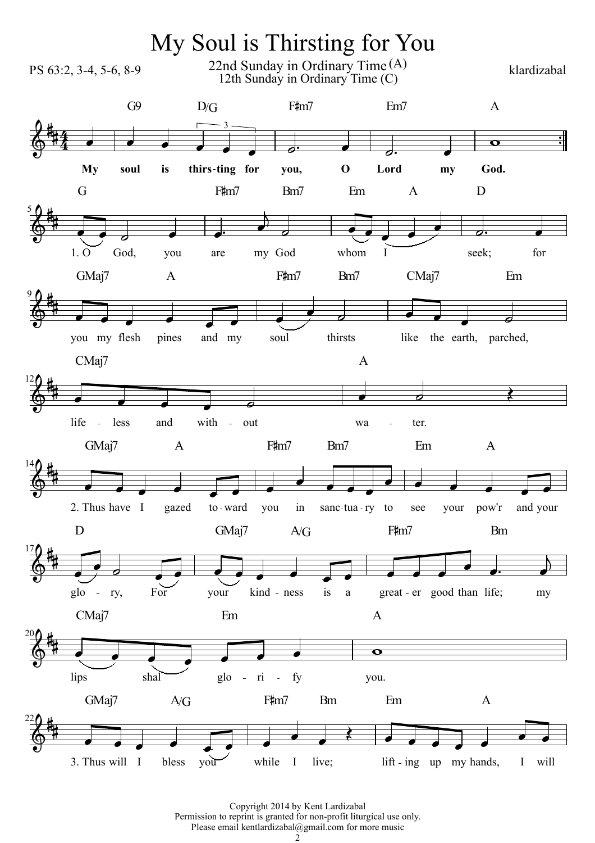

Copyright 2014 by Kent Lardizabal Permission to reprint is granted for non-profit liturgical use only. Please email kentlardizabal@gmail.com for more music